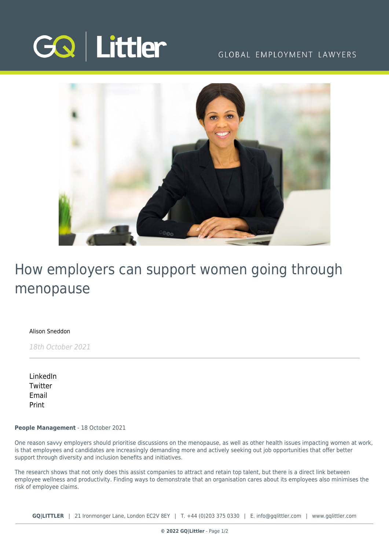

### GLOBAL EMPLOYMENT LAWYERS



# How employers can support women going through menopause

[Alison Sneddon](https://www.gqlittler.com/about-us/the-team/alison-sneddon)

18th October 2021

[LinkedIn](https://www.linkedin.com/shareArticle?mini=true&url=https%3A%2F%2Fwww.gqlittler.com%2Fresources%2Fnews-and-views%2Fhow-employers-can-support-women-going-through-menopause.htm%3Funlock%3Dtrue&title=How+employers+can+support+women+going+through+menopause&summary=In+light+of+World+Menopause+Day%2C+Alison+Sneddon+and+Naomi+Seddon+explore+why+awareness+of+health+issues+affecting+women+should+be+a+priority+for+firms+throughout+the+year&source=GQ+%7C+Littler) **[Twitter](https://twitter.com/share?text=How+employers+can+support+women+going+through+menopause&url=https%3A%2F%2Fwww.gqlittler.com%2Fresources%2Fnews-and-views%2Fhow-employers-can-support-women-going-through-menopause.htm&hashtags=)** [Email](mailto:?subject=How employers can support women going through menopause&body=I) [Print](https://www.bg-pdf.co.uk/_GQ/page.php?M=6148523063484d364c793933643363755a33467361585230624756794c6d4e76625339795a584e7664584a6a5a584d76626d563363793168626d5174646d6c6c64334d76614739334c57567463477876655756796379316a595734746333567763473979644331336232316c6269316e62326c755a79313061484a766457646f4c57316c626d39775958567a5a53356f6447306a51434e49623363675a573177624739355a584a7a49474e686269427a6458427762334a304948647662575675494764766157356e4948526f636d39315a326767625756756233426864584e6c4930416a614739334c57567463477876655756796379316a595734746333567763473979644331336232316c6269316e62326c755a79313061484a766457646f4c57316c626d39775958567a5a513d3d)

**People Management** - 18 October 2021

One reason savvy employers should prioritise discussions on the menopause, as well as other health issues impacting women at work, is that employees and candidates are increasingly demanding more and actively seeking out job opportunities that offer better support through diversity and inclusion benefits and initiatives.

The research shows that not only does this assist companies to attract and retain top talent, but there is a direct link between employee wellness and productivity. Finding ways to demonstrate that an organisation cares about its employees also minimises the risk of employee claims.

**GQ|LITTLER** | 21 Ironmonger Lane, London EC2V 8EY | T. [+44 \(0\)203 375 0330](https://www.bg-pdf.co.uk/_GQ/tel:+442033750330) | E. [info@gqlittler.com](mailto:info@gqlittler.com) | [www.gqlittler.com](https://www.gqlittler.com)